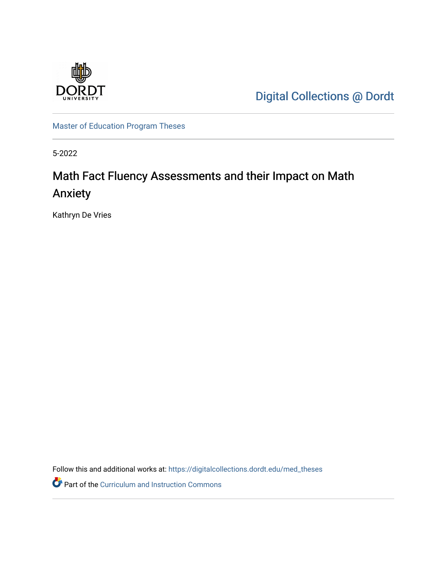

[Digital Collections @ Dordt](https://digitalcollections.dordt.edu/) 

[Master of Education Program Theses](https://digitalcollections.dordt.edu/med_theses) 

5-2022

# Math Fact Fluency Assessments and their Impact on Math Anxiety

Kathryn De Vries

Follow this and additional works at: [https://digitalcollections.dordt.edu/med\\_theses](https://digitalcollections.dordt.edu/med_theses?utm_source=digitalcollections.dordt.edu%2Fmed_theses%2F156&utm_medium=PDF&utm_campaign=PDFCoverPages)

Part of the [Curriculum and Instruction Commons](http://network.bepress.com/hgg/discipline/786?utm_source=digitalcollections.dordt.edu%2Fmed_theses%2F156&utm_medium=PDF&utm_campaign=PDFCoverPages)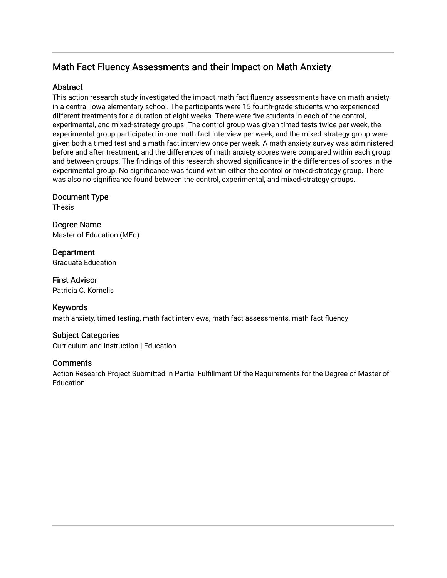# Math Fact Fluency Assessments and their Impact on Math Anxiety

## Abstract

This action research study investigated the impact math fact fluency assessments have on math anxiety in a central Iowa elementary school. The participants were 15 fourth-grade students who experienced different treatments for a duration of eight weeks. There were five students in each of the control, experimental, and mixed-strategy groups. The control group was given timed tests twice per week, the experimental group participated in one math fact interview per week, and the mixed-strategy group were given both a timed test and a math fact interview once per week. A math anxiety survey was administered before and after treatment, and the differences of math anxiety scores were compared within each group and between groups. The findings of this research showed significance in the differences of scores in the experimental group. No significance was found within either the control or mixed-strategy group. There was also no significance found between the control, experimental, and mixed-strategy groups.

Document Type

Thesis

Degree Name Master of Education (MEd)

**Department** Graduate Education

First Advisor Patricia C. Kornelis

Keywords math anxiety, timed testing, math fact interviews, math fact assessments, math fact fluency

## Subject Categories

Curriculum and Instruction | Education

## **Comments**

Action Research Project Submitted in Partial Fulfillment Of the Requirements for the Degree of Master of **Education**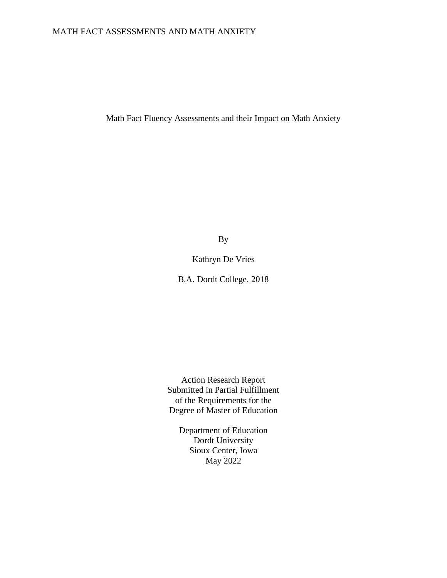## MATH FACT ASSESSMENTS AND MATH ANXIETY

Math Fact Fluency Assessments and their Impact on Math Anxiety

By

Kathryn De Vries

B.A. Dordt College, 2018

Action Research Report Submitted in Partial Fulfillment of the Requirements for the Degree of Master of Education

Department of Education Dordt University Sioux Center, Iowa May 2022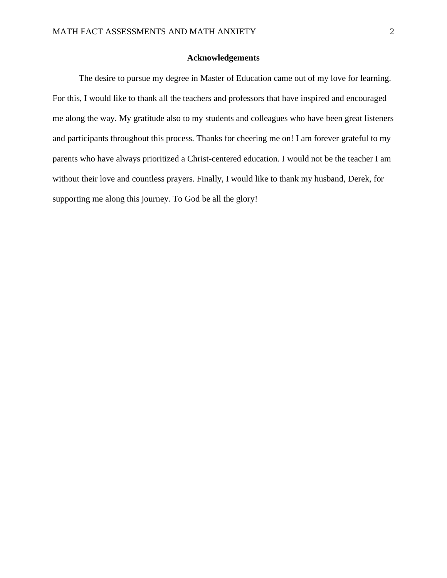#### **Acknowledgements**

<span id="page-3-0"></span>The desire to pursue my degree in Master of Education came out of my love for learning. For this, I would like to thank all the teachers and professors that have inspired and encouraged me along the way. My gratitude also to my students and colleagues who have been great listeners and participants throughout this process. Thanks for cheering me on! I am forever grateful to my parents who have always prioritized a Christ-centered education. I would not be the teacher I am without their love and countless prayers. Finally, I would like to thank my husband, Derek, for supporting me along this journey. To God be all the glory!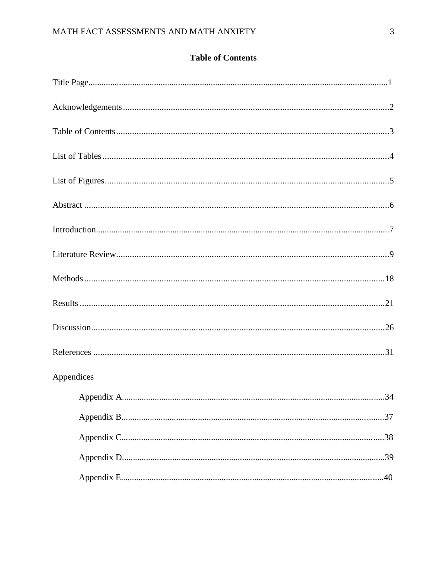# **Table of Contents**

<span id="page-4-0"></span>

| Appendices |  |
|------------|--|
|            |  |
|            |  |
|            |  |
|            |  |
|            |  |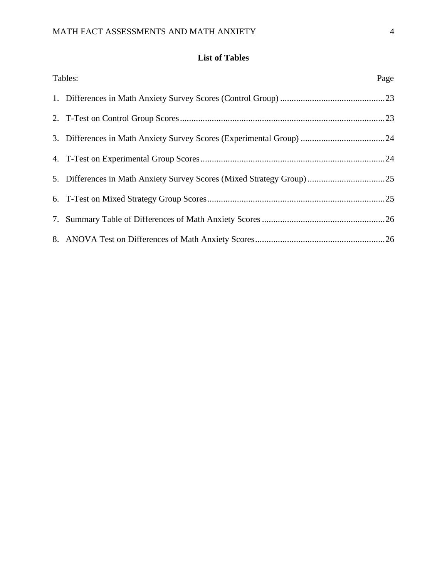# **List of Tables**

<span id="page-5-0"></span>

| Tables:                                                               | Page |
|-----------------------------------------------------------------------|------|
|                                                                       |      |
|                                                                       |      |
|                                                                       |      |
|                                                                       |      |
| 5. Differences in Math Anxiety Survey Scores (Mixed Strategy Group)25 |      |
|                                                                       |      |
|                                                                       |      |
|                                                                       |      |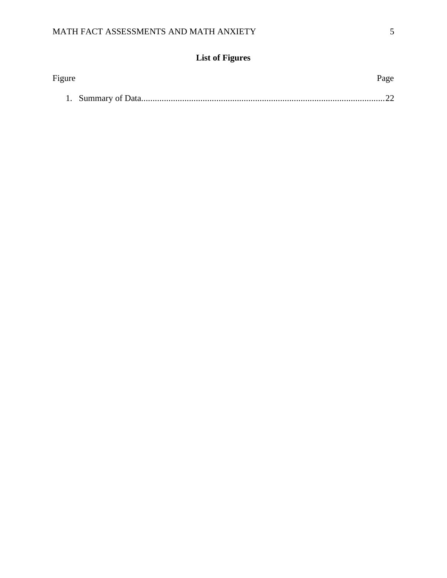# **List of Figures**

<span id="page-6-0"></span>

| Figure | Page |
|--------|------|
|        |      |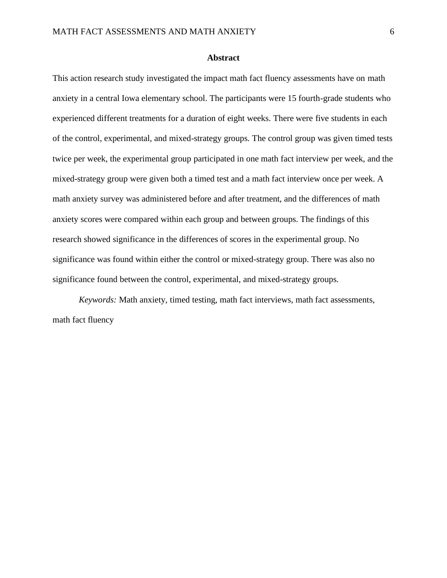## **Abstract**

<span id="page-7-0"></span>This action research study investigated the impact math fact fluency assessments have on math anxiety in a central Iowa elementary school. The participants were 15 fourth-grade students who experienced different treatments for a duration of eight weeks. There were five students in each of the control, experimental, and mixed-strategy groups. The control group was given timed tests twice per week, the experimental group participated in one math fact interview per week, and the mixed-strategy group were given both a timed test and a math fact interview once per week. A math anxiety survey was administered before and after treatment, and the differences of math anxiety scores were compared within each group and between groups. The findings of this research showed significance in the differences of scores in the experimental group. No significance was found within either the control or mixed-strategy group. There was also no significance found between the control, experimental, and mixed-strategy groups.

*Keywords:* Math anxiety, timed testing, math fact interviews, math fact assessments, math fact fluency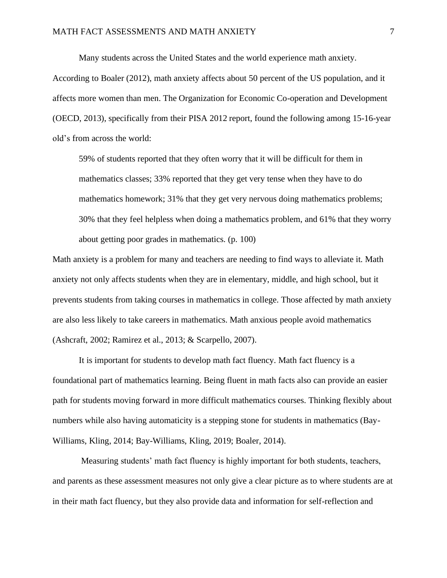Many students across the United States and the world experience math anxiety.

According to Boaler (2012), math anxiety affects about 50 percent of the US population, and it affects more women than men. The Organization for Economic Co-operation and Development (OECD, 2013), specifically from their PISA 2012 report, found the following among 15-16-year old's from across the world:

59% of students reported that they often worry that it will be difficult for them in mathematics classes; 33% reported that they get very tense when they have to do mathematics homework; 31% that they get very nervous doing mathematics problems; 30% that they feel helpless when doing a mathematics problem, and 61% that they worry about getting poor grades in mathematics. (p. 100)

Math anxiety is a problem for many and teachers are needing to find ways to alleviate it. Math anxiety not only affects students when they are in elementary, middle, and high school, but it prevents students from taking courses in mathematics in college. Those affected by math anxiety are also less likely to take careers in mathematics. Math anxious people avoid mathematics (Ashcraft, 2002; Ramirez et al., 2013; & Scarpello, 2007).

It is important for students to develop math fact fluency. Math fact fluency is a foundational part of mathematics learning. Being fluent in math facts also can provide an easier path for students moving forward in more difficult mathematics courses. Thinking flexibly about numbers while also having automaticity is a stepping stone for students in mathematics (Bay-Williams, Kling, 2014; Bay-Williams, Kling, 2019; Boaler, 2014).

Measuring students' math fact fluency is highly important for both students, teachers, and parents as these assessment measures not only give a clear picture as to where students are at in their math fact fluency, but they also provide data and information for self-reflection and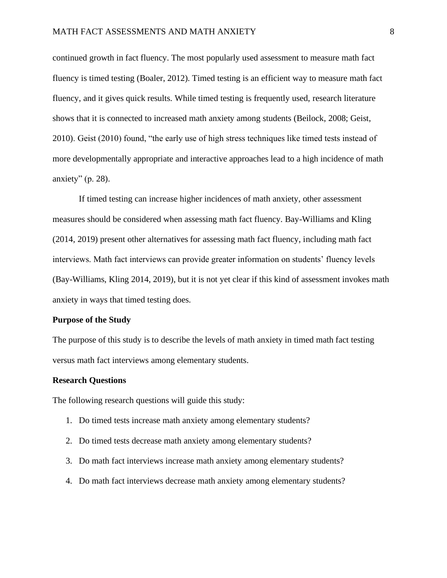continued growth in fact fluency. The most popularly used assessment to measure math fact fluency is timed testing (Boaler, 2012). Timed testing is an efficient way to measure math fact fluency, and it gives quick results. While timed testing is frequently used, research literature shows that it is connected to increased math anxiety among students (Beilock, 2008; Geist, 2010). Geist (2010) found, "the early use of high stress techniques like timed tests instead of more developmentally appropriate and interactive approaches lead to a high incidence of math anxiety" (p. 28).

If timed testing can increase higher incidences of math anxiety, other assessment measures should be considered when assessing math fact fluency. Bay-Williams and Kling (2014, 2019) present other alternatives for assessing math fact fluency, including math fact interviews. Math fact interviews can provide greater information on students' fluency levels (Bay-Williams, Kling 2014, 2019), but it is not yet clear if this kind of assessment invokes math anxiety in ways that timed testing does.

## **Purpose of the Study**

The purpose of this study is to describe the levels of math anxiety in timed math fact testing versus math fact interviews among elementary students.

#### **Research Questions**

The following research questions will guide this study:

- 1. Do timed tests increase math anxiety among elementary students?
- 2. Do timed tests decrease math anxiety among elementary students?
- 3. Do math fact interviews increase math anxiety among elementary students?
- 4. Do math fact interviews decrease math anxiety among elementary students?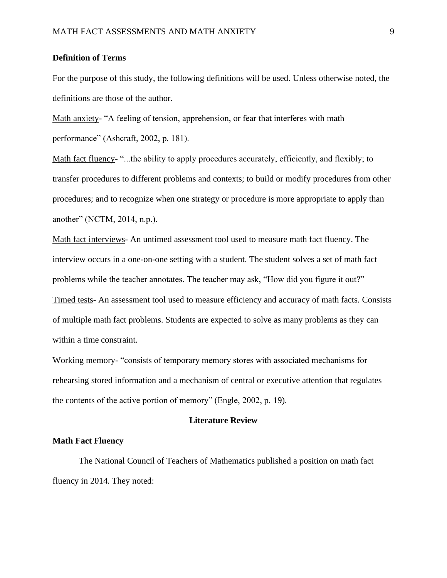#### **Definition of Terms**

For the purpose of this study, the following definitions will be used. Unless otherwise noted, the definitions are those of the author.

Math anxiety- "A feeling of tension, apprehension, or fear that interferes with math performance" (Ashcraft, 2002, p. 181).

Math fact fluency- "...the ability to apply procedures accurately, efficiently, and flexibly; to transfer procedures to different problems and contexts; to build or modify procedures from other procedures; and to recognize when one strategy or procedure is more appropriate to apply than another" (NCTM, 2014, n.p.).

Math fact interviews- An untimed assessment tool used to measure math fact fluency. The interview occurs in a one-on-one setting with a student. The student solves a set of math fact problems while the teacher annotates. The teacher may ask, "How did you figure it out?" Timed tests- An assessment tool used to measure efficiency and accuracy of math facts. Consists of multiple math fact problems. Students are expected to solve as many problems as they can within a time constraint.

Working memory- "consists of temporary memory stores with associated mechanisms for rehearsing stored information and a mechanism of central or executive attention that regulates the contents of the active portion of memory" (Engle, 2002, p. 19).

## **Literature Review**

#### <span id="page-10-0"></span>**Math Fact Fluency**

The National Council of Teachers of Mathematics published a position on math fact fluency in 2014. They noted: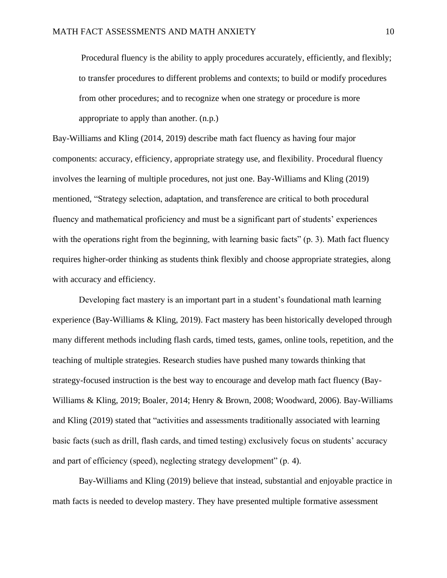Procedural fluency is the ability to apply procedures accurately, efficiently, and flexibly; to transfer procedures to different problems and contexts; to build or modify procedures from other procedures; and to recognize when one strategy or procedure is more appropriate to apply than another. (n.p.)

Bay-Williams and Kling (2014, 2019) describe math fact fluency as having four major components: accuracy, efficiency, appropriate strategy use, and flexibility. Procedural fluency involves the learning of multiple procedures, not just one. Bay-Williams and Kling (2019) mentioned, "Strategy selection, adaptation, and transference are critical to both procedural fluency and mathematical proficiency and must be a significant part of students' experiences with the operations right from the beginning, with learning basic facts" (p. 3). Math fact fluency requires higher-order thinking as students think flexibly and choose appropriate strategies, along with accuracy and efficiency.

Developing fact mastery is an important part in a student's foundational math learning experience (Bay-Williams & Kling, 2019). Fact mastery has been historically developed through many different methods including flash cards, timed tests, games, online tools, repetition, and the teaching of multiple strategies. Research studies have pushed many towards thinking that strategy-focused instruction is the best way to encourage and develop math fact fluency (Bay-Williams & Kling, 2019; Boaler, 2014; Henry & Brown, 2008; Woodward, 2006). Bay-Williams and Kling (2019) stated that "activities and assessments traditionally associated with learning basic facts (such as drill, flash cards, and timed testing) exclusively focus on students' accuracy and part of efficiency (speed), neglecting strategy development" (p. 4).

Bay-Williams and Kling (2019) believe that instead, substantial and enjoyable practice in math facts is needed to develop mastery. They have presented multiple formative assessment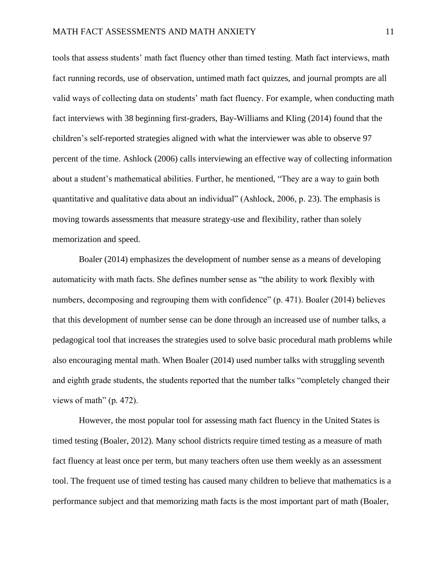tools that assess students' math fact fluency other than timed testing. Math fact interviews, math fact running records, use of observation, untimed math fact quizzes, and journal prompts are all valid ways of collecting data on students' math fact fluency. For example, when conducting math fact interviews with 38 beginning first-graders, Bay-Williams and Kling (2014) found that the children's self-reported strategies aligned with what the interviewer was able to observe 97 percent of the time. Ashlock (2006) calls interviewing an effective way of collecting information about a student's mathematical abilities. Further, he mentioned, "They are a way to gain both quantitative and qualitative data about an individual" (Ashlock, 2006, p. 23). The emphasis is moving towards assessments that measure strategy-use and flexibility, rather than solely memorization and speed.

Boaler (2014) emphasizes the development of number sense as a means of developing automaticity with math facts. She defines number sense as "the ability to work flexibly with numbers, decomposing and regrouping them with confidence" (p. 471). Boaler (2014) believes that this development of number sense can be done through an increased use of number talks, a pedagogical tool that increases the strategies used to solve basic procedural math problems while also encouraging mental math. When Boaler (2014) used number talks with struggling seventh and eighth grade students, the students reported that the number talks "completely changed their views of math" (p. 472).

However, the most popular tool for assessing math fact fluency in the United States is timed testing (Boaler, 2012). Many school districts require timed testing as a measure of math fact fluency at least once per term, but many teachers often use them weekly as an assessment tool. The frequent use of timed testing has caused many children to believe that mathematics is a performance subject and that memorizing math facts is the most important part of math (Boaler,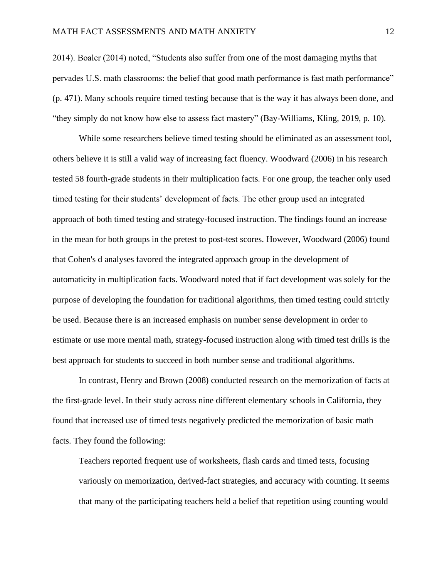2014). Boaler (2014) noted, "Students also suffer from one of the most damaging myths that pervades U.S. math classrooms: the belief that good math performance is fast math performance" (p. 471). Many schools require timed testing because that is the way it has always been done, and "they simply do not know how else to assess fact mastery" (Bay-Williams, Kling, 2019, p. 10).

While some researchers believe timed testing should be eliminated as an assessment tool, others believe it is still a valid way of increasing fact fluency. Woodward (2006) in his research tested 58 fourth-grade students in their multiplication facts. For one group, the teacher only used timed testing for their students' development of facts. The other group used an integrated approach of both timed testing and strategy-focused instruction. The findings found an increase in the mean for both groups in the pretest to post-test scores. However, Woodward (2006) found that Cohen's d analyses favored the integrated approach group in the development of automaticity in multiplication facts. Woodward noted that if fact development was solely for the purpose of developing the foundation for traditional algorithms, then timed testing could strictly be used. Because there is an increased emphasis on number sense development in order to estimate or use more mental math, strategy-focused instruction along with timed test drills is the best approach for students to succeed in both number sense and traditional algorithms.

In contrast, Henry and Brown (2008) conducted research on the memorization of facts at the first-grade level. In their study across nine different elementary schools in California, they found that increased use of timed tests negatively predicted the memorization of basic math facts. They found the following:

Teachers reported frequent use of worksheets, flash cards and timed tests, focusing variously on memorization, derived-fact strategies, and accuracy with counting. It seems that many of the participating teachers held a belief that repetition using counting would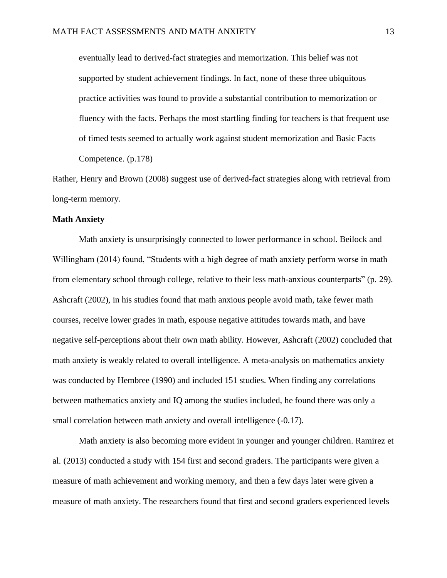eventually lead to derived-fact strategies and memorization. This belief was not supported by student achievement findings. In fact, none of these three ubiquitous practice activities was found to provide a substantial contribution to memorization or fluency with the facts. Perhaps the most startling finding for teachers is that frequent use of timed tests seemed to actually work against student memorization and Basic Facts Competence. (p.178)

Rather, Henry and Brown (2008) suggest use of derived-fact strategies along with retrieval from long-term memory.

## **Math Anxiety**

Math anxiety is unsurprisingly connected to lower performance in school. Beilock and Willingham (2014) found, "Students with a high degree of math anxiety perform worse in math from elementary school through college, relative to their less math-anxious counterparts" (p. 29). Ashcraft (2002), in his studies found that math anxious people avoid math, take fewer math courses, receive lower grades in math, espouse negative attitudes towards math, and have negative self-perceptions about their own math ability. However, Ashcraft (2002) concluded that math anxiety is weakly related to overall intelligence. A meta-analysis on mathematics anxiety was conducted by Hembree (1990) and included 151 studies. When finding any correlations between mathematics anxiety and IQ among the studies included, he found there was only a small correlation between math anxiety and overall intelligence (-0.17).

Math anxiety is also becoming more evident in younger and younger children. Ramirez et al. (2013) conducted a study with 154 first and second graders. The participants were given a measure of math achievement and working memory, and then a few days later were given a measure of math anxiety. The researchers found that first and second graders experienced levels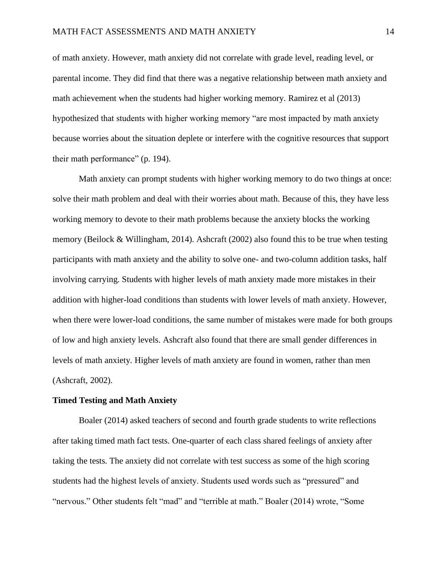of math anxiety. However, math anxiety did not correlate with grade level, reading level, or parental income. They did find that there was a negative relationship between math anxiety and math achievement when the students had higher working memory. Ramirez et al (2013) hypothesized that students with higher working memory "are most impacted by math anxiety because worries about the situation deplete or interfere with the cognitive resources that support their math performance" (p. 194).

Math anxiety can prompt students with higher working memory to do two things at once: solve their math problem and deal with their worries about math. Because of this, they have less working memory to devote to their math problems because the anxiety blocks the working memory (Beilock & Willingham, 2014). Ashcraft (2002) also found this to be true when testing participants with math anxiety and the ability to solve one- and two-column addition tasks, half involving carrying. Students with higher levels of math anxiety made more mistakes in their addition with higher-load conditions than students with lower levels of math anxiety. However, when there were lower-load conditions, the same number of mistakes were made for both groups of low and high anxiety levels. Ashcraft also found that there are small gender differences in levels of math anxiety. Higher levels of math anxiety are found in women, rather than men (Ashcraft, 2002).

## **Timed Testing and Math Anxiety**

Boaler (2014) asked teachers of second and fourth grade students to write reflections after taking timed math fact tests. One-quarter of each class shared feelings of anxiety after taking the tests. The anxiety did not correlate with test success as some of the high scoring students had the highest levels of anxiety. Students used words such as "pressured" and "nervous." Other students felt "mad" and "terrible at math." Boaler (2014) wrote, "Some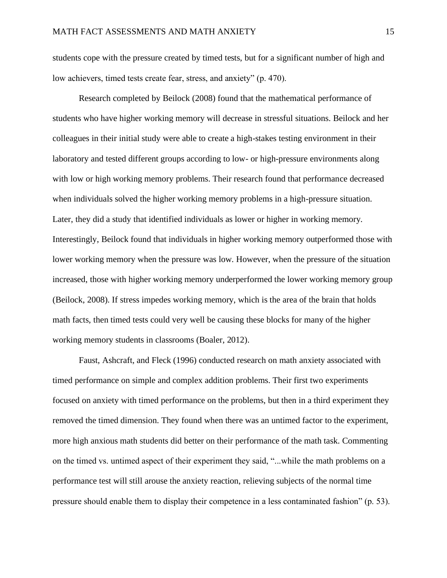students cope with the pressure created by timed tests, but for a significant number of high and low achievers, timed tests create fear, stress, and anxiety" (p. 470).

Research completed by Beilock (2008) found that the mathematical performance of students who have higher working memory will decrease in stressful situations. Beilock and her colleagues in their initial study were able to create a high-stakes testing environment in their laboratory and tested different groups according to low- or high-pressure environments along with low or high working memory problems. Their research found that performance decreased when individuals solved the higher working memory problems in a high-pressure situation. Later, they did a study that identified individuals as lower or higher in working memory. Interestingly, Beilock found that individuals in higher working memory outperformed those with lower working memory when the pressure was low. However, when the pressure of the situation increased, those with higher working memory underperformed the lower working memory group (Beilock, 2008). If stress impedes working memory, which is the area of the brain that holds math facts, then timed tests could very well be causing these blocks for many of the higher working memory students in classrooms (Boaler, 2012).

Faust, Ashcraft, and Fleck (1996) conducted research on math anxiety associated with timed performance on simple and complex addition problems. Their first two experiments focused on anxiety with timed performance on the problems, but then in a third experiment they removed the timed dimension. They found when there was an untimed factor to the experiment, more high anxious math students did better on their performance of the math task. Commenting on the timed vs. untimed aspect of their experiment they said, "...while the math problems on a performance test will still arouse the anxiety reaction, relieving subjects of the normal time pressure should enable them to display their competence in a less contaminated fashion" (p. 53).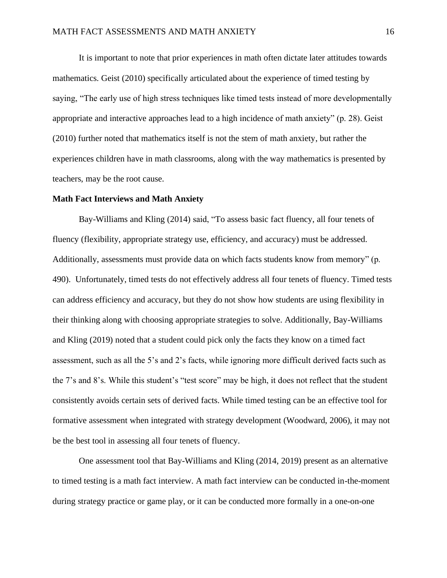It is important to note that prior experiences in math often dictate later attitudes towards mathematics. Geist (2010) specifically articulated about the experience of timed testing by saying, "The early use of high stress techniques like timed tests instead of more developmentally appropriate and interactive approaches lead to a high incidence of math anxiety" (p. 28). Geist (2010) further noted that mathematics itself is not the stem of math anxiety, but rather the experiences children have in math classrooms, along with the way mathematics is presented by teachers, may be the root cause.

#### **Math Fact Interviews and Math Anxiety**

Bay-Williams and Kling (2014) said, "To assess basic fact fluency, all four tenets of fluency (flexibility, appropriate strategy use, efficiency, and accuracy) must be addressed. Additionally, assessments must provide data on which facts students know from memory" (p. 490). Unfortunately, timed tests do not effectively address all four tenets of fluency. Timed tests can address efficiency and accuracy, but they do not show how students are using flexibility in their thinking along with choosing appropriate strategies to solve. Additionally, Bay-Williams and Kling (2019) noted that a student could pick only the facts they know on a timed fact assessment, such as all the 5's and 2's facts, while ignoring more difficult derived facts such as the 7's and 8's. While this student's "test score" may be high, it does not reflect that the student consistently avoids certain sets of derived facts. While timed testing can be an effective tool for formative assessment when integrated with strategy development (Woodward, 2006), it may not be the best tool in assessing all four tenets of fluency.

One assessment tool that Bay-Williams and Kling (2014, 2019) present as an alternative to timed testing is a math fact interview. A math fact interview can be conducted in-the-moment during strategy practice or game play, or it can be conducted more formally in a one-on-one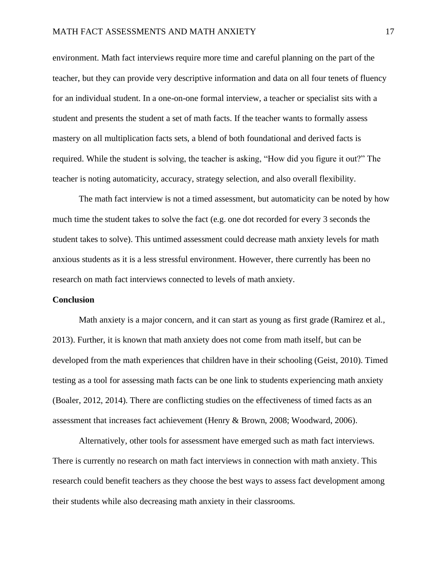environment. Math fact interviews require more time and careful planning on the part of the teacher, but they can provide very descriptive information and data on all four tenets of fluency for an individual student. In a one-on-one formal interview, a teacher or specialist sits with a student and presents the student a set of math facts. If the teacher wants to formally assess mastery on all multiplication facts sets, a blend of both foundational and derived facts is required. While the student is solving, the teacher is asking, "How did you figure it out?" The teacher is noting automaticity, accuracy, strategy selection, and also overall flexibility.

The math fact interview is not a timed assessment, but automaticity can be noted by how much time the student takes to solve the fact (e.g. one dot recorded for every 3 seconds the student takes to solve). This untimed assessment could decrease math anxiety levels for math anxious students as it is a less stressful environment. However, there currently has been no research on math fact interviews connected to levels of math anxiety.

#### **Conclusion**

Math anxiety is a major concern, and it can start as young as first grade (Ramirez et al., 2013). Further, it is known that math anxiety does not come from math itself, but can be developed from the math experiences that children have in their schooling (Geist, 2010). Timed testing as a tool for assessing math facts can be one link to students experiencing math anxiety (Boaler, 2012, 2014). There are conflicting studies on the effectiveness of timed facts as an assessment that increases fact achievement (Henry & Brown, 2008; Woodward, 2006).

Alternatively, other tools for assessment have emerged such as math fact interviews. There is currently no research on math fact interviews in connection with math anxiety. This research could benefit teachers as they choose the best ways to assess fact development among their students while also decreasing math anxiety in their classrooms.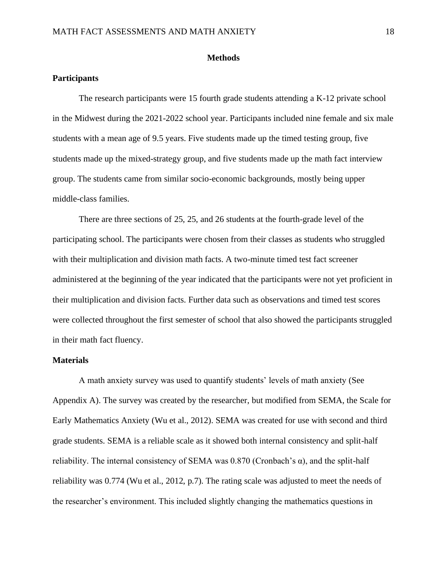## **Methods**

## <span id="page-19-0"></span>**Participants**

The research participants were 15 fourth grade students attending a K-12 private school in the Midwest during the 2021-2022 school year. Participants included nine female and six male students with a mean age of 9.5 years. Five students made up the timed testing group, five students made up the mixed-strategy group, and five students made up the math fact interview group. The students came from similar socio-economic backgrounds, mostly being upper middle-class families.

There are three sections of 25, 25, and 26 students at the fourth-grade level of the participating school. The participants were chosen from their classes as students who struggled with their multiplication and division math facts. A two-minute timed test fact screener administered at the beginning of the year indicated that the participants were not yet proficient in their multiplication and division facts. Further data such as observations and timed test scores were collected throughout the first semester of school that also showed the participants struggled in their math fact fluency.

## **Materials**

A math anxiety survey was used to quantify students' levels of math anxiety (See Appendix A). The survey was created by the researcher, but modified from SEMA, the Scale for Early Mathematics Anxiety (Wu et al., 2012). SEMA was created for use with second and third grade students. SEMA is a reliable scale as it showed both internal consistency and split-half reliability. The internal consistency of SEMA was  $0.870$  (Cronbach's  $\alpha$ ), and the split-half reliability was 0.774 (Wu et al., 2012, p.7). The rating scale was adjusted to meet the needs of the researcher's environment. This included slightly changing the mathematics questions in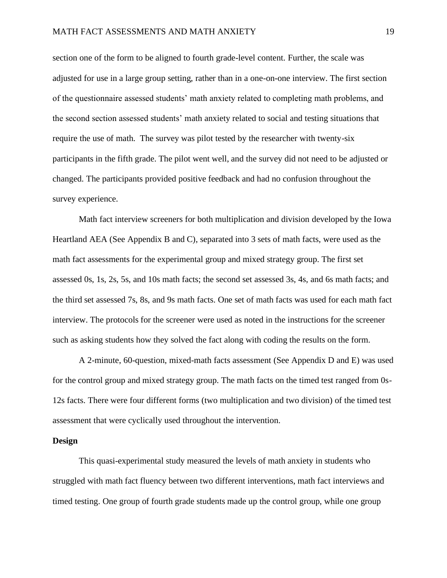section one of the form to be aligned to fourth grade-level content. Further, the scale was adjusted for use in a large group setting, rather than in a one-on-one interview. The first section of the questionnaire assessed students' math anxiety related to completing math problems, and the second section assessed students' math anxiety related to social and testing situations that require the use of math. The survey was pilot tested by the researcher with twenty-six participants in the fifth grade. The pilot went well, and the survey did not need to be adjusted or changed. The participants provided positive feedback and had no confusion throughout the survey experience.

Math fact interview screeners for both multiplication and division developed by the Iowa Heartland AEA (See Appendix B and C), separated into 3 sets of math facts, were used as the math fact assessments for the experimental group and mixed strategy group. The first set assessed 0s, 1s, 2s, 5s, and 10s math facts; the second set assessed 3s, 4s, and 6s math facts; and the third set assessed 7s, 8s, and 9s math facts. One set of math facts was used for each math fact interview. The protocols for the screener were used as noted in the instructions for the screener such as asking students how they solved the fact along with coding the results on the form.

A 2-minute, 60-question, mixed-math facts assessment (See Appendix D and E) was used for the control group and mixed strategy group. The math facts on the timed test ranged from 0s-12s facts. There were four different forms (two multiplication and two division) of the timed test assessment that were cyclically used throughout the intervention.

#### **Design**

This quasi-experimental study measured the levels of math anxiety in students who struggled with math fact fluency between two different interventions, math fact interviews and timed testing. One group of fourth grade students made up the control group, while one group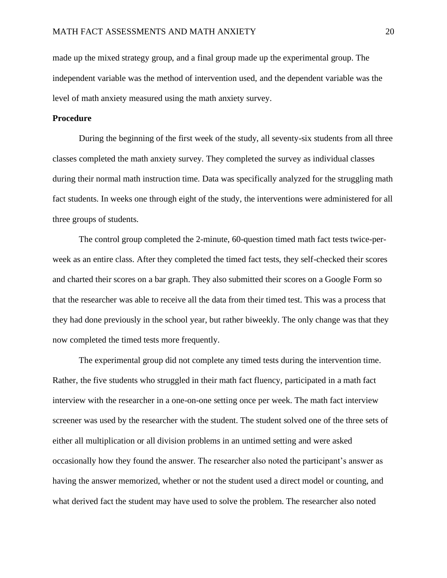made up the mixed strategy group, and a final group made up the experimental group. The independent variable was the method of intervention used, and the dependent variable was the level of math anxiety measured using the math anxiety survey.

## **Procedure**

During the beginning of the first week of the study, all seventy-six students from all three classes completed the math anxiety survey. They completed the survey as individual classes during their normal math instruction time. Data was specifically analyzed for the struggling math fact students. In weeks one through eight of the study, the interventions were administered for all three groups of students.

The control group completed the 2-minute, 60-question timed math fact tests twice-perweek as an entire class. After they completed the timed fact tests, they self-checked their scores and charted their scores on a bar graph. They also submitted their scores on a Google Form so that the researcher was able to receive all the data from their timed test. This was a process that they had done previously in the school year, but rather biweekly. The only change was that they now completed the timed tests more frequently.

The experimental group did not complete any timed tests during the intervention time. Rather, the five students who struggled in their math fact fluency, participated in a math fact interview with the researcher in a one-on-one setting once per week. The math fact interview screener was used by the researcher with the student. The student solved one of the three sets of either all multiplication or all division problems in an untimed setting and were asked occasionally how they found the answer. The researcher also noted the participant's answer as having the answer memorized, whether or not the student used a direct model or counting, and what derived fact the student may have used to solve the problem. The researcher also noted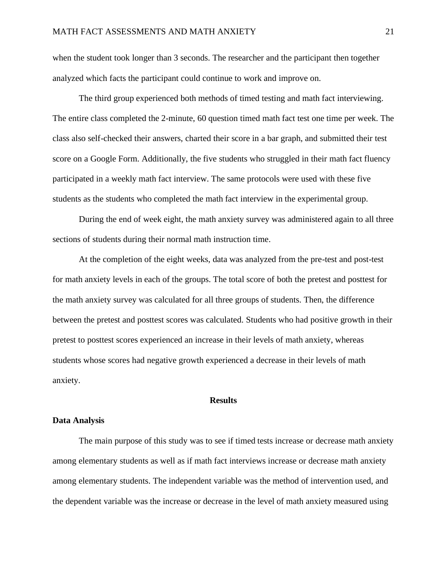when the student took longer than 3 seconds. The researcher and the participant then together analyzed which facts the participant could continue to work and improve on.

The third group experienced both methods of timed testing and math fact interviewing. The entire class completed the 2-minute, 60 question timed math fact test one time per week. The class also self-checked their answers, charted their score in a bar graph, and submitted their test score on a Google Form. Additionally, the five students who struggled in their math fact fluency participated in a weekly math fact interview. The same protocols were used with these five students as the students who completed the math fact interview in the experimental group.

During the end of week eight, the math anxiety survey was administered again to all three sections of students during their normal math instruction time.

At the completion of the eight weeks, data was analyzed from the pre-test and post-test for math anxiety levels in each of the groups. The total score of both the pretest and posttest for the math anxiety survey was calculated for all three groups of students. Then, the difference between the pretest and posttest scores was calculated. Students who had positive growth in their pretest to posttest scores experienced an increase in their levels of math anxiety, whereas students whose scores had negative growth experienced a decrease in their levels of math anxiety.

## **Results**

## <span id="page-22-0"></span>**Data Analysis**

The main purpose of this study was to see if timed tests increase or decrease math anxiety among elementary students as well as if math fact interviews increase or decrease math anxiety among elementary students. The independent variable was the method of intervention used, and the dependent variable was the increase or decrease in the level of math anxiety measured using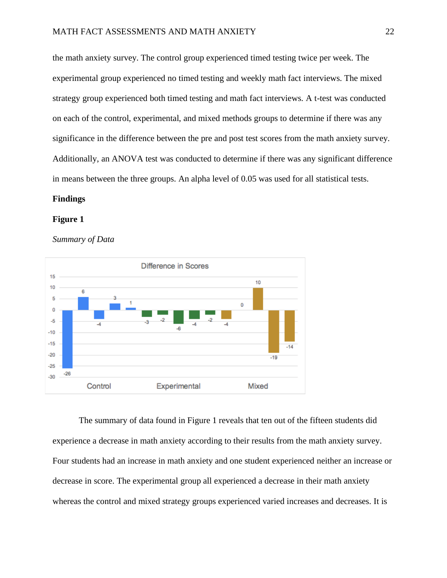the math anxiety survey. The control group experienced timed testing twice per week. The experimental group experienced no timed testing and weekly math fact interviews. The mixed strategy group experienced both timed testing and math fact interviews. A t-test was conducted on each of the control, experimental, and mixed methods groups to determine if there was any significance in the difference between the pre and post test scores from the math anxiety survey. Additionally, an ANOVA test was conducted to determine if there was any significant difference in means between the three groups. An alpha level of 0.05 was used for all statistical tests.

## **Findings**

#### **Figure 1**

*Summary of Data*



The summary of data found in Figure 1 reveals that ten out of the fifteen students did experience a decrease in math anxiety according to their results from the math anxiety survey. Four students had an increase in math anxiety and one student experienced neither an increase or decrease in score. The experimental group all experienced a decrease in their math anxiety whereas the control and mixed strategy groups experienced varied increases and decreases. It is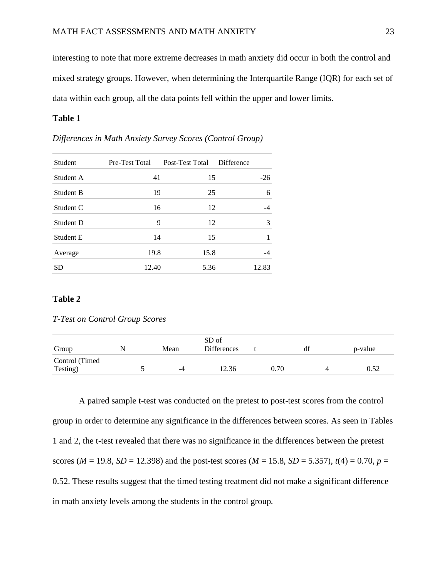interesting to note that more extreme decreases in math anxiety did occur in both the control and mixed strategy groups. However, when determining the Interquartile Range (IQR) for each set of data within each group, all the data points fell within the upper and lower limits.

## **Table 1**

| <b>Student</b> | Pre-Test Total | Post-Test Total | Difference |
|----------------|----------------|-----------------|------------|
| Student A      | 41             | 15              | $-26$      |
| Student B      | 19             | 25              | 6          |
| Student C      | 16             | 12              | $-4$       |
| Student D      | 9              | 12              | 3          |
| Student E      | 14             | 15              | 1          |
| Average        | 19.8           | 15.8            | $-4$       |
| <b>SD</b>      | 12.40          | 5.36            | 12.83      |

*Differences in Math Anxiety Survey Scores (Control Group)*

## **Table 2**

*T-Test on Control Group Scores*

| Group                      | Mean |    | SD of<br><b>Differences</b> |      |  | p-value |
|----------------------------|------|----|-----------------------------|------|--|---------|
| Control (Timed<br>Testing) |      | -4 | 12.36                       | 0.70 |  | 0.52    |

A paired sample t-test was conducted on the pretest to post-test scores from the control group in order to determine any significance in the differences between scores. As seen in Tables 1 and 2, the t-test revealed that there was no significance in the differences between the pretest scores ( $M = 19.8$ ,  $SD = 12.398$ ) and the post-test scores ( $M = 15.8$ ,  $SD = 5.357$ ),  $t(4) = 0.70$ ,  $p =$ 0.52. These results suggest that the timed testing treatment did not make a significant difference in math anxiety levels among the students in the control group.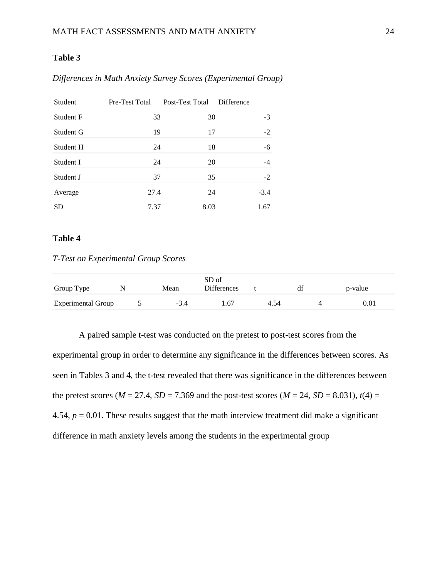## **Table 3**

| Student          | Pre-Test Total | Post-Test Total | Difference |
|------------------|----------------|-----------------|------------|
| <b>Student F</b> | 33             | 30              | -3         |
| Student G        | 19             | 17              | $-2$       |
| Student H        | 24             | 18              | -6         |
| Student I        | 24             | 20              | $-4$       |
| Student J        | 37             | 35              | $-2$       |
| Average          | 27.4           | 24              | $-3.4$     |
| SD               | 7.37           | 8.03            | 1.67       |

*Differences in Math Anxiety Survey Scores (Experimental Group)*

## **Table 4**

## *T-Test on Experimental Group Scores*

| Group Type                |  | Mean   | SD of<br><b>Differences</b> |  | df | p-value |
|---------------------------|--|--------|-----------------------------|--|----|---------|
| <b>Experimental Group</b> |  | $-3.4$ | -67                         |  |    | 0.01    |

A paired sample t-test was conducted on the pretest to post-test scores from the experimental group in order to determine any significance in the differences between scores. As seen in Tables 3 and 4, the t-test revealed that there was significance in the differences between the pretest scores ( $M = 27.4$ ,  $SD = 7.369$  and the post-test scores ( $M = 24$ ,  $SD = 8.031$ ),  $t(4) =$ 4.54,  $p = 0.01$ . These results suggest that the math interview treatment did make a significant difference in math anxiety levels among the students in the experimental group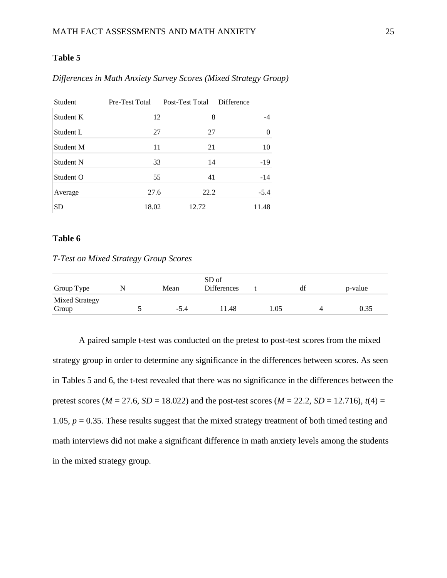## **Table 5**

| <b>Student</b> | Pre-Test Total | Post-Test Total | <b>Difference</b> |
|----------------|----------------|-----------------|-------------------|
| Student K      | 12             | 8               | -4                |
| Student L      | 27             | 27              | 0                 |
| Student M      | 11             | 21              | 10                |
| Student N      | 33             | 14              | $-19$             |
| Student O      | 55             | 41              | $-14$             |
| Average        | 27.6           | 22.2            | $-5.4$            |
| <b>SD</b>      | 18.02          | 12.72           | 11.48             |

*Differences in Math Anxiety Survey Scores (Mixed Strategy Group)*

## **Table 6**

## *T-Test on Mixed Strategy Group Scores*

| Group Type                     | Mean   | SD of<br><b>Differences</b> |      | df | p-value |
|--------------------------------|--------|-----------------------------|------|----|---------|
| <b>Mixed Strategy</b><br>Group | $-5.4$ | 11.48                       | 1.05 |    | 0.35    |

A paired sample t-test was conducted on the pretest to post-test scores from the mixed strategy group in order to determine any significance in the differences between scores. As seen in Tables 5 and 6, the t-test revealed that there was no significance in the differences between the pretest scores ( $M = 27.6$ ,  $SD = 18.022$ ) and the post-test scores ( $M = 22.2$ ,  $SD = 12.716$ ),  $t(4) =$ 1.05,  $p = 0.35$ . These results suggest that the mixed strategy treatment of both timed testing and math interviews did not make a significant difference in math anxiety levels among the students in the mixed strategy group.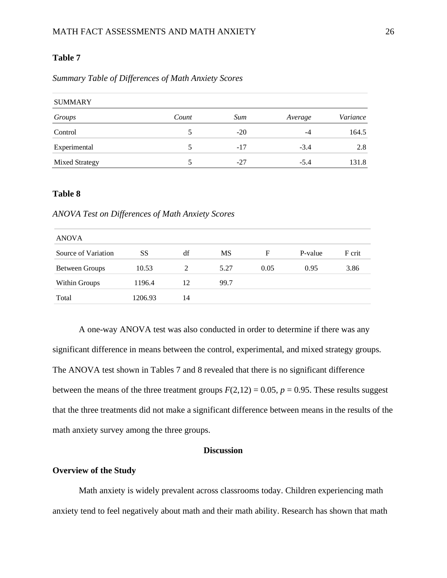## **Table 7**

## *Summary Table of Differences of Math Anxiety Scores*

| <b>SUMMARY</b>        |       |       |         |          |  |  |  |
|-----------------------|-------|-------|---------|----------|--|--|--|
| Groups                | Count | Sum   | Average | Variance |  |  |  |
| Control               |       | $-20$ | -4      | 164.5    |  |  |  |
| Experimental          | 5     | $-17$ | $-3.4$  | 2.8      |  |  |  |
| <b>Mixed Strategy</b> |       | $-27$ | $-5.4$  | 131.8    |  |  |  |

## **Table 8**

#### *ANOVA Test on Differences of Math Anxiety Scores*

| <b>ANOVA</b>          |         |    |      |      |         |        |  |
|-----------------------|---------|----|------|------|---------|--------|--|
| Source of Variation   | SS      | df | MS   | F    | P-value | F crit |  |
| <b>Between Groups</b> | 10.53   | 2  | 5.27 | 0.05 | 0.95    | 3.86   |  |
| Within Groups         | 1196.4  | 12 | 99.7 |      |         |        |  |
| Total                 | 1206.93 | 14 |      |      |         |        |  |

A one-way ANOVA test was also conducted in order to determine if there was any significant difference in means between the control, experimental, and mixed strategy groups. The ANOVA test shown in Tables 7 and 8 revealed that there is no significant difference between the means of the three treatment groups  $F(2,12) = 0.05$ ,  $p = 0.95$ . These results suggest that the three treatments did not make a significant difference between means in the results of the math anxiety survey among the three groups.

## **Discussion**

## <span id="page-27-0"></span>**Overview of the Study**

Math anxiety is widely prevalent across classrooms today. Children experiencing math anxiety tend to feel negatively about math and their math ability. Research has shown that math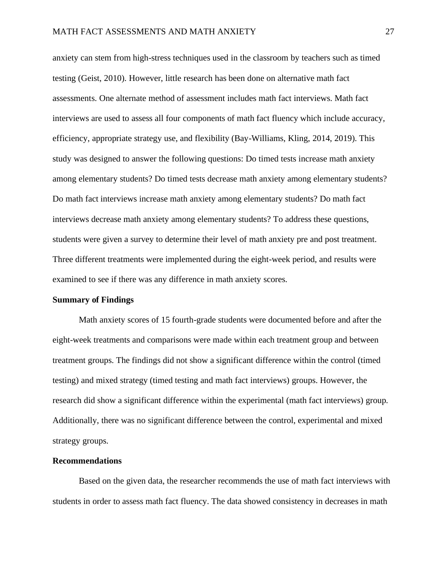anxiety can stem from high-stress techniques used in the classroom by teachers such as timed testing (Geist, 2010). However, little research has been done on alternative math fact assessments. One alternate method of assessment includes math fact interviews. Math fact interviews are used to assess all four components of math fact fluency which include accuracy, efficiency, appropriate strategy use, and flexibility (Bay-Williams, Kling, 2014, 2019). This study was designed to answer the following questions: Do timed tests increase math anxiety among elementary students? Do timed tests decrease math anxiety among elementary students? Do math fact interviews increase math anxiety among elementary students? Do math fact interviews decrease math anxiety among elementary students? To address these questions, students were given a survey to determine their level of math anxiety pre and post treatment. Three different treatments were implemented during the eight-week period, and results were examined to see if there was any difference in math anxiety scores.

#### **Summary of Findings**

Math anxiety scores of 15 fourth-grade students were documented before and after the eight-week treatments and comparisons were made within each treatment group and between treatment groups. The findings did not show a significant difference within the control (timed testing) and mixed strategy (timed testing and math fact interviews) groups. However, the research did show a significant difference within the experimental (math fact interviews) group. Additionally, there was no significant difference between the control, experimental and mixed strategy groups.

#### **Recommendations**

Based on the given data, the researcher recommends the use of math fact interviews with students in order to assess math fact fluency. The data showed consistency in decreases in math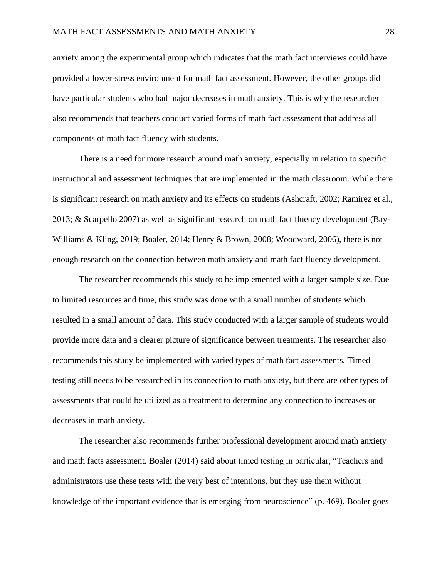anxiety among the experimental group which indicates that the math fact interviews could have provided a lower-stress environment for math fact assessment. However, the other groups did have particular students who had major decreases in math anxiety. This is why the researcher also recommends that teachers conduct varied forms of math fact assessment that address all components of math fact fluency with students.

There is a need for more research around math anxiety, especially in relation to specific instructional and assessment techniques that are implemented in the math classroom. While there is significant research on math anxiety and its effects on students (Ashcraft, 2002; Ramirez et al., 2013; & Scarpello 2007) as well as significant research on math fact fluency development (Bay-Williams & Kling, 2019; Boaler, 2014; Henry & Brown, 2008; Woodward, 2006), there is not enough research on the connection between math anxiety and math fact fluency development.

The researcher recommends this study to be implemented with a larger sample size. Due to limited resources and time, this study was done with a small number of students which resulted in a small amount of data. This study conducted with a larger sample of students would provide more data and a clearer picture of significance between treatments. The researcher also recommends this study be implemented with varied types of math fact assessments. Timed testing still needs to be researched in its connection to math anxiety, but there are other types of assessments that could be utilized as a treatment to determine any connection to increases or decreases in math anxiety.

The researcher also recommends further professional development around math anxiety and math facts assessment. Boaler (2014) said about timed testing in particular, "Teachers and administrators use these tests with the very best of intentions, but they use them without knowledge of the important evidence that is emerging from neuroscience" (p. 469). Boaler goes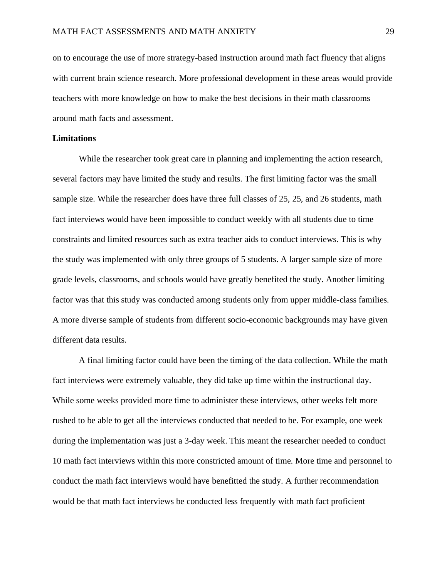on to encourage the use of more strategy-based instruction around math fact fluency that aligns with current brain science research. More professional development in these areas would provide teachers with more knowledge on how to make the best decisions in their math classrooms around math facts and assessment.

## **Limitations**

While the researcher took great care in planning and implementing the action research, several factors may have limited the study and results. The first limiting factor was the small sample size. While the researcher does have three full classes of 25, 25, and 26 students, math fact interviews would have been impossible to conduct weekly with all students due to time constraints and limited resources such as extra teacher aids to conduct interviews. This is why the study was implemented with only three groups of 5 students. A larger sample size of more grade levels, classrooms, and schools would have greatly benefited the study. Another limiting factor was that this study was conducted among students only from upper middle-class families. A more diverse sample of students from different socio-economic backgrounds may have given different data results.

A final limiting factor could have been the timing of the data collection. While the math fact interviews were extremely valuable, they did take up time within the instructional day. While some weeks provided more time to administer these interviews, other weeks felt more rushed to be able to get all the interviews conducted that needed to be. For example, one week during the implementation was just a 3-day week. This meant the researcher needed to conduct 10 math fact interviews within this more constricted amount of time. More time and personnel to conduct the math fact interviews would have benefitted the study. A further recommendation would be that math fact interviews be conducted less frequently with math fact proficient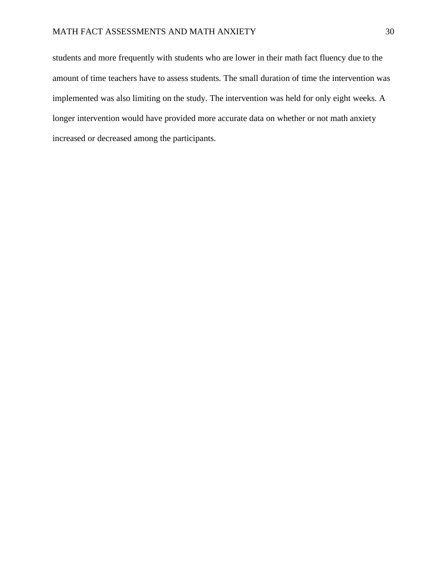<span id="page-31-0"></span>students and more frequently with students who are lower in their math fact fluency due to the amount of time teachers have to assess students. The small duration of time the intervention was implemented was also limiting on the study. The intervention was held for only eight weeks. A longer intervention would have provided more accurate data on whether or not math anxiety increased or decreased among the participants.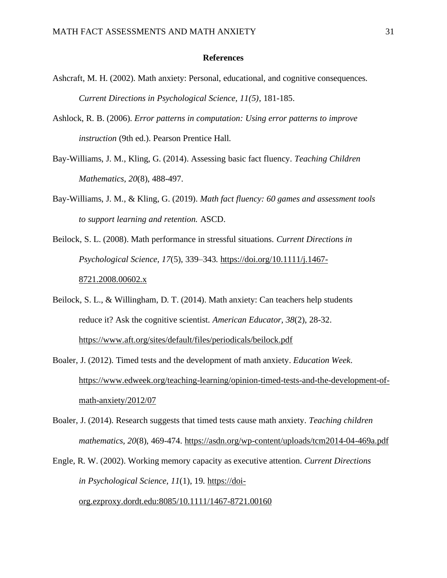## **References**

- Ashcraft, M. H. (2002). Math anxiety: Personal, educational, and cognitive consequences. *Current Directions in Psychological Science, 11(5)*, 181-185.
- Ashlock, R. B. (2006). *Error patterns in computation: Using error patterns to improve instruction* (9th ed.). Pearson Prentice Hall.
- Bay-Williams, J. M., Kling, G. (2014). Assessing basic fact fluency. *Teaching Children Mathematics, 20*(8), 488-497.
- Bay-Williams, J. M., & Kling, G. (2019). *Math fact fluency: 60 games and assessment tools to support learning and retention.* ASCD.
- Beilock, S. L. (2008). Math performance in stressful situations. *Current Directions in Psychological Science, 17*(5), 339–343. [https://doi.org/10.1111/j.1467-](https://doi.org/10.1111/j.1467-8721.2008.00602.x) [8721.2008.00602.x](https://doi.org/10.1111/j.1467-8721.2008.00602.x)
- Beilock, S. L., & Willingham, D. T. (2014). Math anxiety: Can teachers help students reduce it? Ask the cognitive scientist. *American Educator, 38*(2), 28-32. <https://www.aft.org/sites/default/files/periodicals/beilock.pdf>
- Boaler, J. (2012). Timed tests and the development of math anxiety. *Education Week*. [https://www.edweek.org/teaching-learning/opinion-timed-tests-and-the-development-of](https://www.edweek.org/teaching-learning/opinion-timed-tests-and-the-development-of-math-anxiety/2012/07)[math-anxiety/2012/07](https://www.edweek.org/teaching-learning/opinion-timed-tests-and-the-development-of-math-anxiety/2012/07)
- Boaler, J. (2014). Research suggests that timed tests cause math anxiety. *Teaching children mathematics, 20*(8), 469-474.<https://asdn.org/wp-content/uploads/tcm2014-04-469a.pdf>
- Engle, R. W. (2002). Working memory capacity as executive attention. *Current Directions in Psychological Science, 11*(1), 19. [https://doi](https://doi-org.ezproxy.dordt.edu:8085/10.1111/1467-8721.00160)[org.ezproxy.dordt.edu:8085/10.1111/1467-8721.00160](https://doi-org.ezproxy.dordt.edu:8085/10.1111/1467-8721.00160)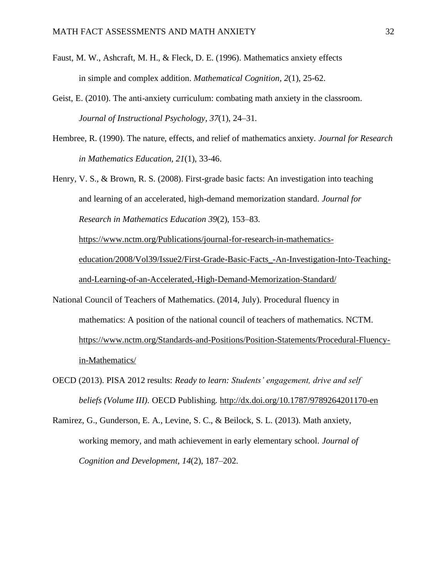- Faust, M. W., Ashcraft, M. H., & Fleck, D. E. (1996). Mathematics anxiety effects in simple and complex addition. *Mathematical Cognition, 2*(1), 25-62.
- Geist, E. (2010). The anti-anxiety curriculum: combating math anxiety in the classroom. *Journal of Instructional Psychology, 37*(1), 24–31.
- Hembree, R. (1990). The nature, effects, and relief of mathematics anxiety. *Journal for Research in Mathematics Education, 21*(1), 33-46.
- Henry, V. S., & Brown, R. S. (2008). First-grade basic facts: An investigation into teaching and learning of an accelerated, high-demand memorization standard. *Journal for Research in Mathematics Education 39*(2), 153–83. [https://www.nctm.org/Publications/journal-for-research-in-mathematics](https://www.nctm.org/Publications/journal-for-research-in-mathematics-education/2008/Vol39/Issue2/First-Grade-Basic-Facts_-An-Investigation-Into-Teaching-and-Learning-of-an-Accelerated,-High-Demand-Memorization-Standard/)[education/2008/Vol39/Issue2/First-Grade-Basic-Facts\\_-An-Investigation-Into-Teaching-](https://www.nctm.org/Publications/journal-for-research-in-mathematics-education/2008/Vol39/Issue2/First-Grade-Basic-Facts_-An-Investigation-Into-Teaching-and-Learning-of-an-Accelerated,-High-Demand-Memorization-Standard/)

[and-Learning-of-an-Accelerated,-High-Demand-Memorization-Standard/](https://www.nctm.org/Publications/journal-for-research-in-mathematics-education/2008/Vol39/Issue2/First-Grade-Basic-Facts_-An-Investigation-Into-Teaching-and-Learning-of-an-Accelerated,-High-Demand-Memorization-Standard/)

- National Council of Teachers of Mathematics. (2014, July). Procedural fluency in mathematics: A position of the national council of teachers of mathematics. NCTM. [https://www.nctm.org/Standards-and-Positions/Position-Statements/Procedural-Fluency](https://www.nctm.org/Standards-and-Positions/Position-Statements/Procedural-Fluency-in-Mathematics/)[in-Mathematics/](https://www.nctm.org/Standards-and-Positions/Position-Statements/Procedural-Fluency-in-Mathematics/)
- OECD (2013). PISA 2012 results: *Ready to learn: Students' engagement, drive and self beliefs (Volume III).* OECD Publishing.<http://dx.doi.org/10.1787/9789264201170-en>
- Ramirez, G., Gunderson, E. A., Levine, S. C., & Beilock, S. L. (2013). Math anxiety, working memory, and math achievement in early elementary school. *Journal of Cognition and Development, 14*(2), 187–202.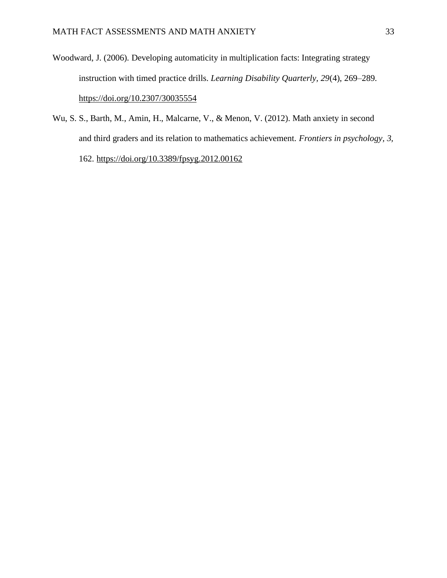- Woodward, J. (2006). Developing automaticity in multiplication facts: Integrating strategy instruction with timed practice drills. *Learning Disability Quarterly, 29*(4), 269–289. <https://doi.org/10.2307/30035554>
- Wu, S. S., Barth, M., Amin, H., Malcarne, V., & Menon, V. (2012). Math anxiety in second and third graders and its relation to mathematics achievement. *Frontiers in psychology, 3,* 162.<https://doi.org/10.3389/fpsyg.2012.00162>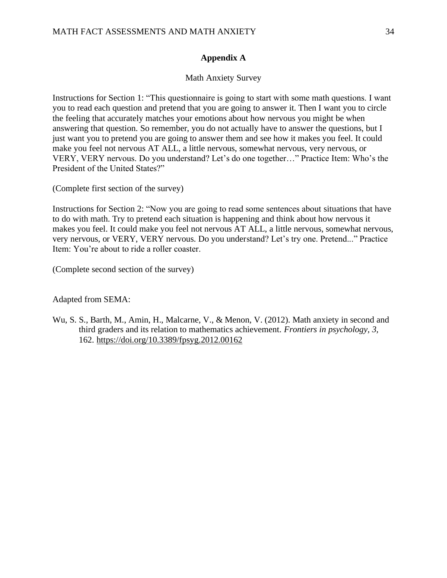## **Appendix A**

## Math Anxiety Survey

Instructions for Section 1: "This questionnaire is going to start with some math questions. I want you to read each question and pretend that you are going to answer it. Then I want you to circle the feeling that accurately matches your emotions about how nervous you might be when answering that question. So remember, you do not actually have to answer the questions, but I just want you to pretend you are going to answer them and see how it makes you feel. It could make you feel not nervous AT ALL, a little nervous, somewhat nervous, very nervous, or VERY, VERY nervous. Do you understand? Let's do one together…" Practice Item: Who's the President of the United States?"

(Complete first section of the survey)

Instructions for Section 2: "Now you are going to read some sentences about situations that have to do with math. Try to pretend each situation is happening and think about how nervous it makes you feel. It could make you feel not nervous AT ALL, a little nervous, somewhat nervous, very nervous, or VERY, VERY nervous. Do you understand? Let's try one. Pretend..." Practice Item: You're about to ride a roller coaster.

(Complete second section of the survey)

Adapted from SEMA:

Wu, S. S., Barth, M., Amin, H., Malcarne, V., & Menon, V. (2012). Math anxiety in second and third graders and its relation to mathematics achievement. *Frontiers in psychology, 3,* 162.<https://doi.org/10.3389/fpsyg.2012.00162>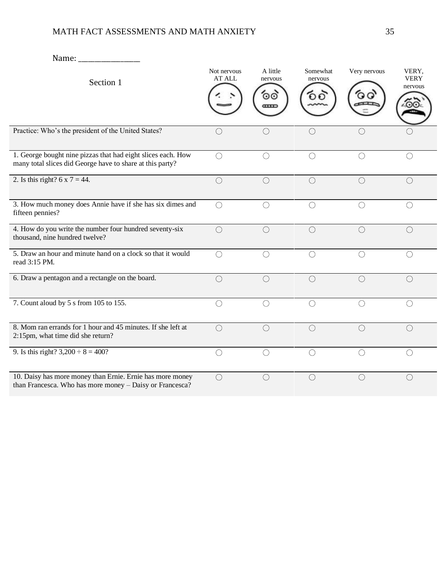# MATH FACT ASSESSMENTS AND MATH ANXIETY 35

| Name:                                                                                                                     |                       |                                             |                           |              |                                 |
|---------------------------------------------------------------------------------------------------------------------------|-----------------------|---------------------------------------------|---------------------------|--------------|---------------------------------|
| Section 1                                                                                                                 | Not nervous<br>AT ALL | A little<br>nervous<br>⊙⊙                   | Somewhat<br>nervous<br>ĐО | Very nervous | VERY,<br><b>VERY</b><br>nervous |
| Practice: Who's the president of the United States?                                                                       | $\bigcirc$            | $( \ )$                                     | $\bigcirc$                | ◯            |                                 |
| 1. George bought nine pizzas that had eight slices each. How<br>many total slices did George have to share at this party? | $\bigcirc$            | $\bigcirc$                                  | $\bigcirc$                | $\bigcirc$   | $\bigcirc$                      |
| 2. Is this right? $6 \times 7 = 44$ .                                                                                     | $\bigcirc$            | $\bigcirc$                                  | $\bigcirc$                | $\bigcirc$   | $\bigcirc$                      |
| 3. How much money does Annie have if she has six dimes and<br>fifteen pennies?                                            | $\bigcirc$            | ∩                                           | $\bigcirc$                | ○            | $\bigcirc$                      |
| 4. How do you write the number four hundred seventy-six<br>thousand, nine hundred twelve?                                 | $\bigcirc$            | $\left(\begin{array}{c} \end{array}\right)$ | $\bigcirc$                | $\bigcirc$   | $\bigcirc$                      |
| 5. Draw an hour and minute hand on a clock so that it would<br>read 3:15 PM.                                              | $\bigcirc$            | $\bigcirc$                                  | $\bigcirc$                | $\bigcirc$   | ○                               |
| 6. Draw a pentagon and a rectangle on the board.                                                                          | $\bigcirc$            | $\bigcirc$                                  | $\bigcirc$                | $\bigcirc$   | $\bigcirc$                      |
| 7. Count aloud by 5 s from 105 to 155.                                                                                    | $\bigcirc$            | ◯                                           | $\bigcirc$                | $\bigcirc$   | $\bigcirc$                      |
| 8. Mom ran errands for 1 hour and 45 minutes. If she left at<br>2:15pm, what time did she return?                         | $\bigcirc$            | $\bigcirc$                                  | $\bigcirc$                | $\bigcirc$   | $\bigcirc$                      |
| 9. Is this right? $3,200 \div 8 = 400$ ?                                                                                  | $\bigcirc$            | ∩                                           | $\bigcirc$                | $\bigcirc$   | ◯                               |
| 10. Daisy has more money than Ernie. Ernie has more money<br>than Francesca. Who has more money - Daisy or Francesca?     | $\bigcirc$            | $\bigcirc$                                  | $\bigcirc$                | $\bigcirc$   | $\bigcirc$                      |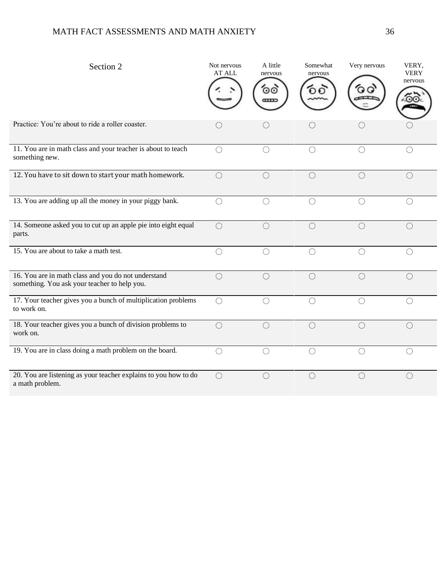# MATH FACT ASSESSMENTS AND MATH ANXIETY 36

| Section 2                                                                                           | Not nervous<br><b>AT ALL</b>                  | A little<br>nervous<br>⊙⊙<br>Œ                       | Somewhat<br>nervous | Very nervous | VERY,<br><b>VERY</b><br>nervous |
|-----------------------------------------------------------------------------------------------------|-----------------------------------------------|------------------------------------------------------|---------------------|--------------|---------------------------------|
| Practice: You're about to ride a roller coaster.                                                    | $\left( \begin{array}{c} \end{array} \right)$ | ()                                                   | ( )                 | O            |                                 |
| 11. You are in math class and your teacher is about to teach<br>something new.                      | $\bigcirc$                                    |                                                      |                     | O            | €                               |
| 12. You have to sit down to start your math homework.                                               | $\bigcirc$                                    | O                                                    | $\bigcirc$          | $\bigcirc$   | $\bigcirc$                      |
| 13. You are adding up all the money in your piggy bank.                                             | $\bigcirc$                                    | ∩                                                    |                     | $\bigcirc$   | $\bigcirc$                      |
| 14. Someone asked you to cut up an apple pie into eight equal<br>parts.                             | $\bigcirc$                                    | $\bigcirc$                                           | $\bigcirc$          | $\bigcirc$   | $\bigcirc$                      |
| 15. You are about to take a math test.                                                              | $\bigcirc$                                    | $\left(\begin{smallmatrix} \end{smallmatrix}\right)$ |                     | $\bigcirc$   | $\bigcirc$                      |
| 16. You are in math class and you do not understand<br>something. You ask your teacher to help you. | $\bigcirc$                                    | $\bigcirc$                                           | $\bigcirc$          | $\bigcirc$   | $\bigcirc$                      |
| 17. Your teacher gives you a bunch of multiplication problems<br>to work on.                        | $\bigcirc$                                    | $\bigcirc$                                           | $\bigcirc$          | $\bigcirc$   | $\bigcirc$                      |
| 18. Your teacher gives you a bunch of division problems to<br>work on.                              | $\bigcirc$                                    | $\bigcirc$                                           | $\bigcirc$          | $\bigcirc$   | $\bigcirc$                      |
| 19. You are in class doing a math problem on the board.                                             | $\bigcirc$                                    | $\bigcirc$                                           | $\bigcirc$          | $\bigcirc$   | $\bigcirc$                      |
| 20. You are listening as your teacher explains to you how to do<br>a math problem.                  | $\bigcirc$                                    | $\bigcirc$                                           | $\bigcirc$          | $\bigcirc$   | $\bigcirc$                      |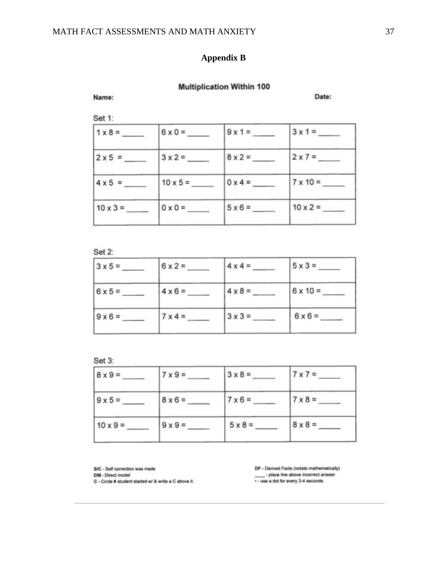## **Appendix B**

## **Multiplication Within 100**

## Name:

Date:

Set 1:

| $1 \times 8 =$  | $6 \times 0 =$  | $9x1 =$        | $3x1 =$         |
|-----------------|-----------------|----------------|-----------------|
| $2 \times 5 =$  | $3 \times 2 =$  | $8 \times 2 =$ | $2 \times 7 =$  |
| $4 \times 5 =$  | $10 \times 5 =$ | $0 \times 4 =$ | $7 \times 10 =$ |
| $10 \times 3 =$ | $0 \times 0 =$  | $5 \times 6 =$ | $10 \times 2 =$ |

## Set 2:

| $3 \times 5 =$ | $6x2=$         | $4 \times 4 =$ | $5 \times 3 =$  |
|----------------|----------------|----------------|-----------------|
| $6x5=$         | $4 \times 6 =$ | $4 \times 8 =$ | $6 \times 10 =$ |
| $9 \times 6 =$ | $7 \times 4 =$ | $3 \times 3 =$ | $6 \times 6 =$  |

Set 3:

| $8 \times 9 =$  | $7 \times 9 =$ | $3 \times 8 =$ | $7 \times 7 =$ |
|-----------------|----------------|----------------|----------------|
| $9 \times 5 =$  | $8 \times 6 =$ | $7 \times 6 =$ | $7 \times 8 =$ |
| $10 \times 9 =$ | $9 \times 9 =$ | $5 \times 8 =$ | $8 \times 8 =$ |

S/C - Self correction was made

DM - Direct model

C - Circle # student started w/ & write a C above it.

DF - Derived Facts (notate mathematically) -<br>place line above incorrect answer<br>... use a dot for every 3-4 seconds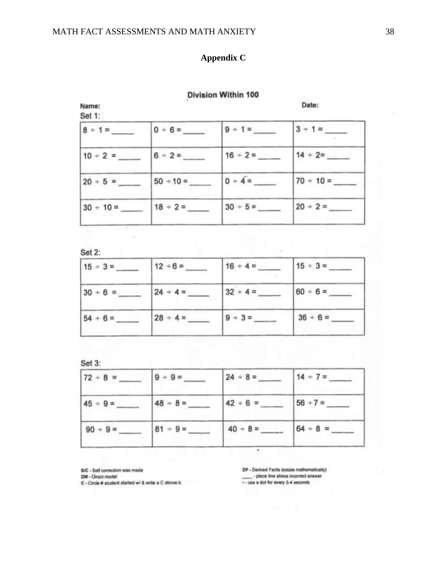## **Appendix C**

#### **Division Within 100**

Date: Name: Set 1:  $8 + 1 =$  $0 + 6 =$  $3 + 1 =$  $9 + 1 =$  $6 + 2 =$  $16 + 2 =$  $14 + 2 =$  $10 + 2 =$  $0 + 4 =$  $70 + 10 =$  $50 + 10 =$  $20 + 5 =$  $30 + 5 =$  $20 + 2 =$  $30 + 10 =$  $18 + 2 =$ 

Set 2:

| $15 \div 3 =$ | $12 \div 6 =$ | $16 + 4 =$ | $15 \div 3 =$ |
|---------------|---------------|------------|---------------|
| $30 + 6 =$    | $24 + 4 =$    | $32 + 4 =$ | $60 + 6 =$    |
| $54 + 6 =$    | $28 + 4 =$    | $9 + 3 =$  | $36 + 6 =$    |

Set 3:

| $72 + 8 =$ | $9 + 9 =$  | $24 + 8 =$ | $14 + 7 =$ |
|------------|------------|------------|------------|
| $45 + 9 =$ | $48 + 8 =$ | $42 + 6 =$ | $56 + 7 =$ |
| $90 + 9 =$ | $81 + 9 =$ | $40 + 8 =$ | $64 + 8 =$ |

S/C - Self correction was made DM - Direct model

C - Circle # student started w/ & write a C above it.

DF - Derived Facts (notate mathematically) - place line above incorrect answer -- use a dot for every 3-4 seconds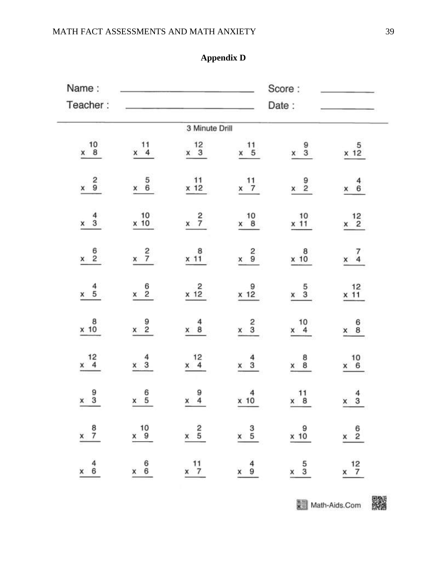# **Appendix D**

| Name:                                    |                                         |                                                                      |                                          | Score:                                   |                                          |
|------------------------------------------|-----------------------------------------|----------------------------------------------------------------------|------------------------------------------|------------------------------------------|------------------------------------------|
| Teacher:                                 |                                         |                                                                      |                                          | Date:                                    |                                          |
|                                          |                                         | 3 Minute Drill                                                       |                                          |                                          |                                          |
| $\times$ 10 $\,$ 8                       | $^{11}_{4}$                             | $\times$ 12<br>3                                                     | $x \begin{array}{c} 11 \\ 5 \end{array}$ | $x \quad 3$                              | $x$ 12                                   |
| $x \frac{2}{9}$                          | $x \begin{array}{c} 5 \\ 6 \end{array}$ | $\begin{array}{c} 11 \\ x 12 \end{array}$                            | $x \frac{11}{7}$                         | $x \frac{9}{2}$                          | $x \begin{array}{cc} 4 \\ 6 \end{array}$ |
| $x \frac{4}{3}$                          | $\times$ 10 $^{10}$                     | $x \frac{2}{7}$                                                      | $x \begin{array}{c} 10 \\ 8 \end{array}$ | $x 10$<br>$x 11$                         | $x \frac{12}{2}$                         |
| $x \frac{6}{2}$                          | $x \frac{2}{7}$                         | $x$ 11                                                               | $x = \frac{2}{9}$                        | $x + 10$                                 | $x \frac{7}{4}$                          |
| $x \quad 5$                              | $x \begin{array}{c} 6 \\ 2 \end{array}$ | $x$ 12                                                               | x 12                                     | $x \quad 5$                              | $x_1^2$                                  |
| $x$ 10                                   | $x \begin{array}{c} 9 \\ 2 \end{array}$ | $x \quad 8$                                                          | $x \frac{2}{3}$                          | $x \begin{array}{c} 10 \\ 4 \end{array}$ | $x \begin{array}{c} 6 \\ 8 \end{array}$  |
| $x \begin{array}{c} 12 \\ 4 \end{array}$ | $x \frac{4}{3}$                         | $x \begin{array}{c} 12 \\ 4 \end{array}$                             | $x \frac{4}{3}$                          | $x \overset{8}{8}$                       | 10<br>$x \quad 6$                        |
| $x \frac{9}{3}$                          | $x \begin{array}{c} 6 \\ 5 \end{array}$ | $x \begin{array}{c} 9 \\ 4 \end{array}$                              | $x$ 10                                   | $x \begin{array}{c} 11 \\ 8 \end{array}$ | $\frac{4}{3}$<br>x                       |
| $x \frac{8}{7}$                          |                                         | $x = \begin{array}{ccc} 10 & 2 & 3 & 9 \\ x & 9 & x & 5 \end{array}$ |                                          |                                          | $x = \frac{6}{2}$                        |
| $x \quad 6$                              | $x = 6$                                 | $x \frac{11}{7}$                                                     | $x \quad 9$                              | $x \frac{5}{3}$                          | $x \frac{12}{7}$                         |

**文章 Math-Aids.Com**<br>图像